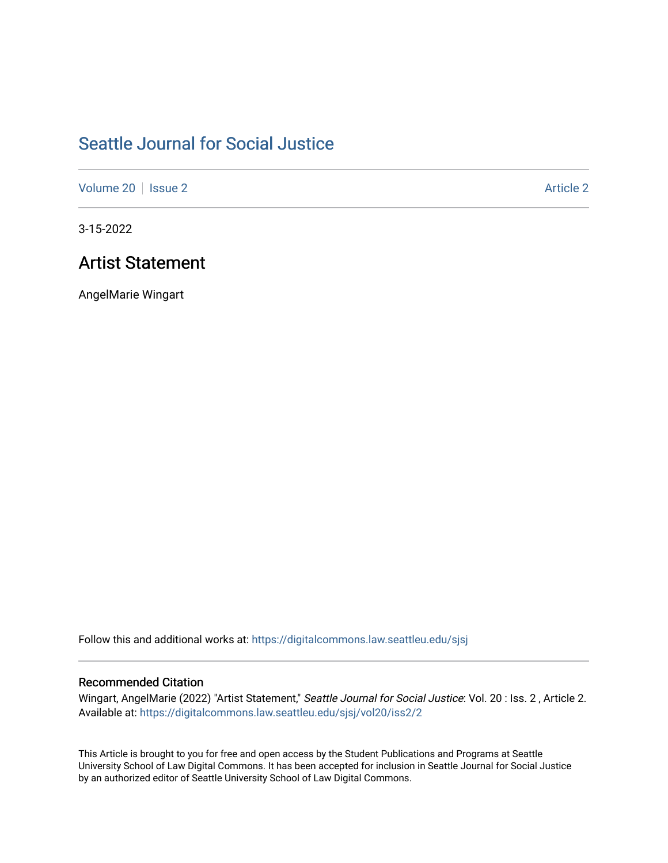## [Seattle Journal for Social Justice](https://digitalcommons.law.seattleu.edu/sjsj)

[Volume 20](https://digitalcommons.law.seattleu.edu/sjsj/vol20) | [Issue 2](https://digitalcommons.law.seattleu.edu/sjsj/vol20/iss2) [Article 2](https://digitalcommons.law.seattleu.edu/sjsj/vol20/iss2/2) Article 2 Article 2 Article 2 Article 2

3-15-2022

## Artist Statement

AngelMarie Wingart

Follow this and additional works at: [https://digitalcommons.law.seattleu.edu/sjsj](https://digitalcommons.law.seattleu.edu/sjsj?utm_source=digitalcommons.law.seattleu.edu%2Fsjsj%2Fvol20%2Fiss2%2F2&utm_medium=PDF&utm_campaign=PDFCoverPages)

## Recommended Citation

Wingart, AngelMarie (2022) "Artist Statement," Seattle Journal for Social Justice: Vol. 20 : Iss. 2 , Article 2. Available at: [https://digitalcommons.law.seattleu.edu/sjsj/vol20/iss2/2](https://digitalcommons.law.seattleu.edu/sjsj/vol20/iss2/2?utm_source=digitalcommons.law.seattleu.edu%2Fsjsj%2Fvol20%2Fiss2%2F2&utm_medium=PDF&utm_campaign=PDFCoverPages)

This Article is brought to you for free and open access by the Student Publications and Programs at Seattle University School of Law Digital Commons. It has been accepted for inclusion in Seattle Journal for Social Justice by an authorized editor of Seattle University School of Law Digital Commons.